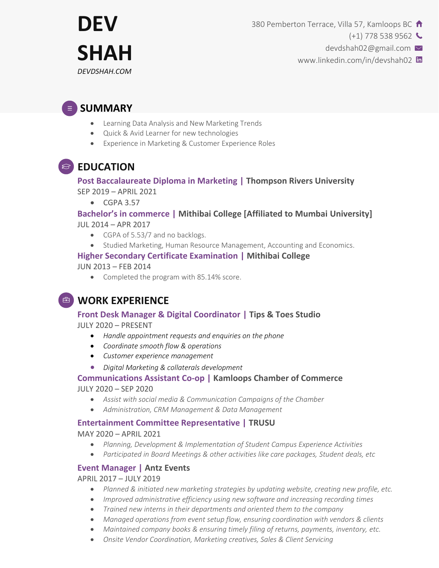

380 Pemberton Terrace, Villa 57, Kamloops BC  $\uparrow$ 

 $(+1)$  778 538 9562

devdshah02@gmail.com

www.linkedin.com/in/devshah02

# **SUMMARY**

- Learning Data Analysis and New Marketing Trends
- Quick & Avid Learner for new technologies
- Experience in Marketing & Customer Experience Roles

# **EDUCATION**

#### **Post Baccalaureate Diploma in Marketing | Thompson Rivers University** SEP 2019 – APRIL 2021

 $\bullet$  CGPA 3.57

#### **Bachelor's in commerce | Mithibai College [Affiliated to Mumbai University]** JUL 2014 – APR 2017

- CGPA of 5.53/7 and no backlogs.
- Studied Marketing, Human Resource Management, Accounting and Economics.

#### **Higher Secondary Certificate Examination | Mithibai College**

JUN 2013 – FEB 2014

• Completed the program with 85.14% score.

## **WORK EXPERIENCE**

#### **Front Desk Manager & Digital Coordinator | Tips & Toes Studio**

JULY 2020 – PRESENT

- *Handle appointment requests and enquiries on the phone*
- *Coordinate smooth flow & operations*
- *Customer experience management*
- *Digital Marketing & collaterals development*

#### **Communications Assistant Co-op | Kamloops Chamber of Commerce**

JULY 2020 – SEP 2020

- *Assist with social media & Communication Campaigns of the Chamber*
- *Administration, CRM Management & Data Management*

#### **Entertainment Committee Representative | TRUSU**

MAY 2020 – APRIL 2021

- *Planning, Development & Implementation of Student Campus Experience Activities*
- *Participated in Board Meetings & other activities like care packages, Student deals, etc*

#### **Event Manager | Antz Events**

APRIL 2017 – JULY 2019

- *Planned & initiated new marketing strategies by updating website, creating new profile, etc.*
- *Improved administrative efficiency using new software and increasing recording times*
- *Trained new interns in their departments and oriented them to the company*
- *Managed operations from event setup flow, ensuring coordination with vendors & clients*
- *Maintained company books & ensuring timely filing of returns, payments, inventory, etc.*
- *Onsite Vendor Coordination, Marketing creatives, Sales & Client Servicing*